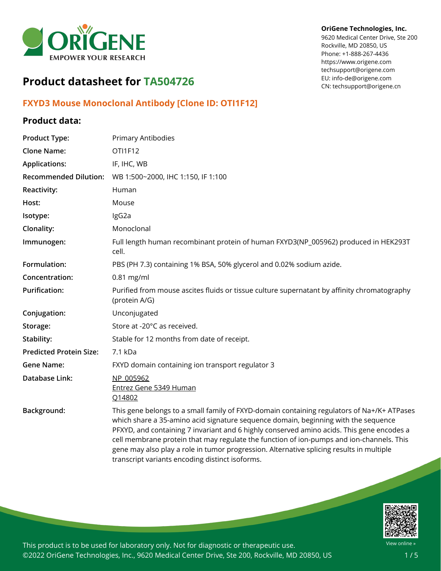

# **Product datasheet for TA504726**

# **FXYD3 Mouse Monoclonal Antibody [Clone ID: OTI1F12]**

# **Product data:**

| <b>Product Type:</b>           | Primary Antibodies                                                                                                                                                                                                                                                                                                                                                                                                                                                                                                       |
|--------------------------------|--------------------------------------------------------------------------------------------------------------------------------------------------------------------------------------------------------------------------------------------------------------------------------------------------------------------------------------------------------------------------------------------------------------------------------------------------------------------------------------------------------------------------|
| <b>Clone Name:</b>             | OTI1F12                                                                                                                                                                                                                                                                                                                                                                                                                                                                                                                  |
| <b>Applications:</b>           | IF, IHC, WB                                                                                                                                                                                                                                                                                                                                                                                                                                                                                                              |
| <b>Recommended Dilution:</b>   | WB 1:500~2000, IHC 1:150, IF 1:100                                                                                                                                                                                                                                                                                                                                                                                                                                                                                       |
| Reactivity:                    | Human                                                                                                                                                                                                                                                                                                                                                                                                                                                                                                                    |
| Host:                          | Mouse                                                                                                                                                                                                                                                                                                                                                                                                                                                                                                                    |
| Isotype:                       | IgG2a                                                                                                                                                                                                                                                                                                                                                                                                                                                                                                                    |
| Clonality:                     | Monoclonal                                                                                                                                                                                                                                                                                                                                                                                                                                                                                                               |
| Immunogen:                     | Full length human recombinant protein of human FXYD3(NP_005962) produced in HEK293T<br>cell.                                                                                                                                                                                                                                                                                                                                                                                                                             |
| Formulation:                   | PBS (PH 7.3) containing 1% BSA, 50% glycerol and 0.02% sodium azide.                                                                                                                                                                                                                                                                                                                                                                                                                                                     |
| Concentration:                 | $0.81$ mg/ml                                                                                                                                                                                                                                                                                                                                                                                                                                                                                                             |
| <b>Purification:</b>           | Purified from mouse ascites fluids or tissue culture supernatant by affinity chromatography<br>(protein A/G)                                                                                                                                                                                                                                                                                                                                                                                                             |
| Conjugation:                   | Unconjugated                                                                                                                                                                                                                                                                                                                                                                                                                                                                                                             |
| Storage:                       | Store at -20°C as received.                                                                                                                                                                                                                                                                                                                                                                                                                                                                                              |
| Stability:                     | Stable for 12 months from date of receipt.                                                                                                                                                                                                                                                                                                                                                                                                                                                                               |
| <b>Predicted Protein Size:</b> | 7.1 kDa                                                                                                                                                                                                                                                                                                                                                                                                                                                                                                                  |
| <b>Gene Name:</b>              | FXYD domain containing ion transport regulator 3                                                                                                                                                                                                                                                                                                                                                                                                                                                                         |
| Database Link:                 | NP 005962<br>Entrez Gene 5349 Human<br>Q14802                                                                                                                                                                                                                                                                                                                                                                                                                                                                            |
| Background:                    | This gene belongs to a small family of FXYD-domain containing regulators of Na+/K+ ATPases<br>which share a 35-amino acid signature sequence domain, beginning with the sequence<br>PFXYD, and containing 7 invariant and 6 highly conserved amino acids. This gene encodes a<br>cell membrane protein that may regulate the function of ion-pumps and ion-channels. This<br>gene may also play a role in tumor progression. Alternative splicing results in multiple<br>transcript variants encoding distinct isoforms. |



This product is to be used for laboratory only. Not for diagnostic or therapeutic use. ©2022 OriGene Technologies, Inc., 9620 Medical Center Drive, Ste 200, Rockville, MD 20850, US

### **OriGene Technologies, Inc.**

9620 Medical Center Drive, Ste 200 Rockville, MD 20850, US Phone: +1-888-267-4436 https://www.origene.com techsupport@origene.com EU: info-de@origene.com CN: techsupport@origene.cn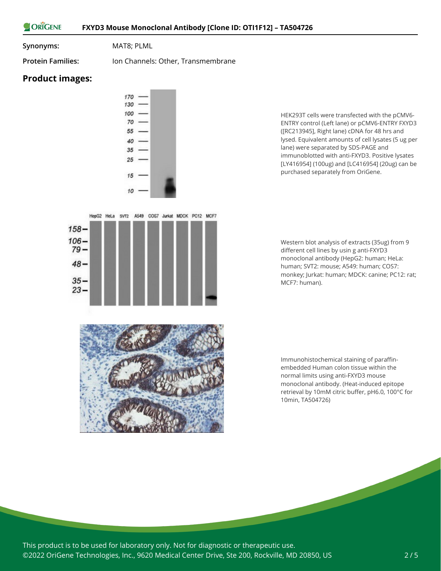#### ORIGENE **FXYD3 Mouse Monoclonal Antibody [Clone ID: OTI1F12] – TA504726**

**Synonyms:** MAT8; PLML

**Protein Families:** Ion Channels: Other, Transmembrane

## **Product images:**



HEK293T cells were transfected with the pCMV6- ENTRY control (Left lane) or pCMV6-ENTRY FXYD3 ([RC213945], Right lane) cDNA for 48 hrs and lysed. Equivalent amounts of cell lysates (5 ug per lane) were separated by SDS-PAGE and immunoblotted with anti-FXYD3. Positive lysates [LY416954] (100ug) and [LC416954] (20ug) can be purchased separately from OriGene.

Western blot analysis of extracts (35ug) from 9 different cell lines by usin g anti-FXYD3 monoclonal antibody (HepG2: human; HeLa: human; SVT2: mouse; A549: human; COS7: monkey; Jurkat: human; MDCK: canine; PC12: rat; MCF7: human).

Immunohistochemical staining of paraffinembedded Human colon tissue within the normal limits using anti-FXYD3 mouse monoclonal antibody. (Heat-induced epitope retrieval by 10mM citric buffer, pH6.0, 100°C for 10min, TA504726)

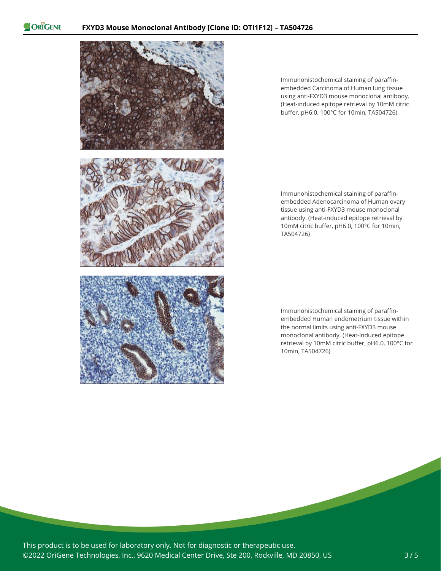ORIGENE



Immunohistochemical staining of paraffinembedded Carcinoma of Human lung tissue using anti-FXYD3 mouse monoclonal antibody. (Heat-induced epitope retrieval by 10mM citric buffer, pH6.0, 100°C for 10min, TA504726)

Immunohistochemical staining of paraffinembedded Adenocarcinoma of Human ovary tissue using anti-FXYD3 mouse monoclonal antibody. (Heat-induced epitope retrieval by 10mM citric buffer, pH6.0, 100°C for 10min, TA504726)

Immunohistochemical staining of paraffinembedded Human endometrium tissue within the normal limits using anti-FXYD3 mouse monoclonal antibody. (Heat-induced epitope retrieval by 10mM citric buffer, pH6.0, 100°C for 10min, TA504726)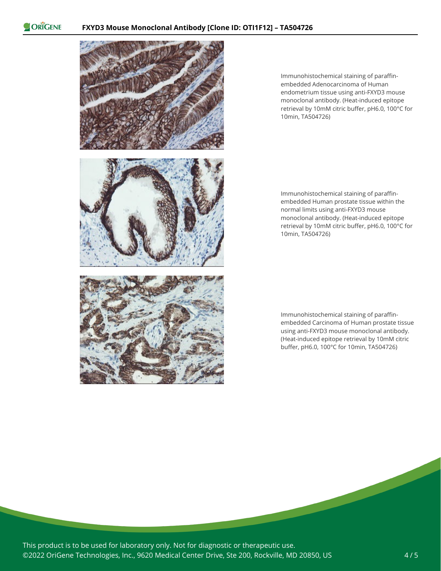ORIGENE



Immunohistochemical staining of paraffinembedded Adenocarcinoma of Human endometrium tissue using anti-FXYD3 mouse monoclonal antibody. (Heat-induced epitope retrieval by 10mM citric buffer, pH6.0, 100°C for 10min, TA504726)

Immunohistochemical staining of paraffinembedded Human prostate tissue within the normal limits using anti-FXYD3 mouse monoclonal antibody. (Heat-induced epitope retrieval by 10mM citric buffer, pH6.0, 100°C for 10min, TA504726)

Immunohistochemical staining of paraffinembedded Carcinoma of Human prostate tissue using anti-FXYD3 mouse monoclonal antibody. (Heat-induced epitope retrieval by 10mM citric buffer, pH6.0, 100°C for 10min, TA504726)